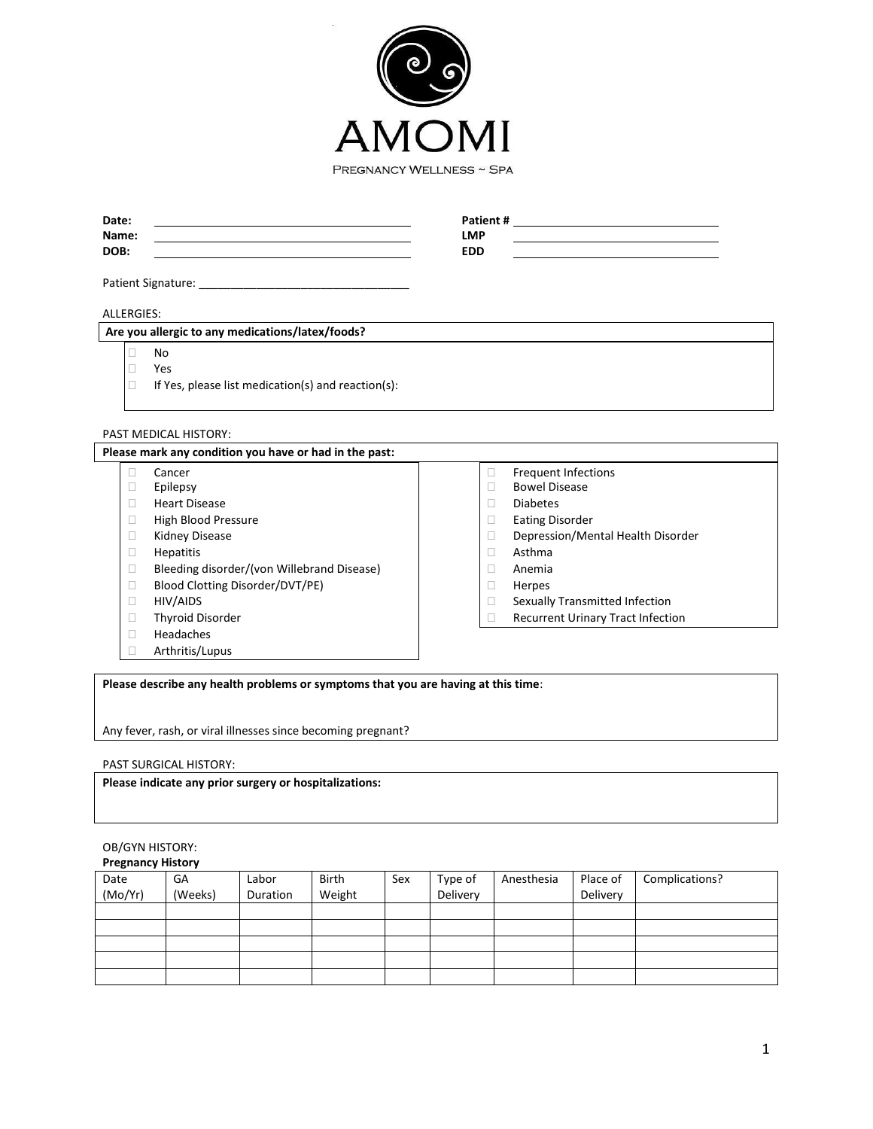

| Date:<br>Name:<br>DOB: | Patient #<br><b>LMP</b><br><b>EDD</b> |  |
|------------------------|---------------------------------------|--|
| Patient Signature: _   |                                       |  |

# ALLERGIES:

# **Are you allergic to any medications/latex/foods?**

No

□ Yes<br>□ If Ye If Yes, please list medication(s) and reaction(s):

# PAST MEDICAL HISTORY:

| Please mark any condition you have or had in the past: |                                            |  |                                          |  |
|--------------------------------------------------------|--------------------------------------------|--|------------------------------------------|--|
|                                                        | Cancer                                     |  | <b>Frequent Infections</b>               |  |
|                                                        | Epilepsy                                   |  | <b>Bowel Disease</b>                     |  |
|                                                        | <b>Heart Disease</b>                       |  | <b>Diabetes</b>                          |  |
|                                                        | High Blood Pressure                        |  | <b>Eating Disorder</b>                   |  |
|                                                        | Kidney Disease                             |  | Depression/Mental Health Disorder        |  |
|                                                        | <b>Hepatitis</b>                           |  | Asthma                                   |  |
|                                                        | Bleeding disorder/(von Willebrand Disease) |  | Anemia                                   |  |
|                                                        | Blood Clotting Disorder/DVT/PE)            |  | Herpes                                   |  |
|                                                        | HIV/AIDS                                   |  | Sexually Transmitted Infection           |  |
|                                                        | <b>Thyroid Disorder</b>                    |  | <b>Recurrent Urinary Tract Infection</b> |  |
|                                                        | Headaches                                  |  |                                          |  |
|                                                        | Arthritis/Lupus                            |  |                                          |  |

**Please describe any health problems or symptoms that you are having at this time**:

Any fever, rash, or viral illnesses since becoming pregnant?

## PAST SURGICAL HISTORY:

**Please indicate any prior surgery or hospitalizations:**

# OB/GYN HISTORY:

**Pregnancy History**

| Date    | GA      | Labor    | <b>Birth</b> | Sex | Type of  | Anesthesia | Place of | Complications? |
|---------|---------|----------|--------------|-----|----------|------------|----------|----------------|
| (Mo/Yr) | (Weeks) | Duration | Weight       |     | Delivery |            | Delivery |                |
|         |         |          |              |     |          |            |          |                |
|         |         |          |              |     |          |            |          |                |
|         |         |          |              |     |          |            |          |                |
|         |         |          |              |     |          |            |          |                |
|         |         |          |              |     |          |            |          |                |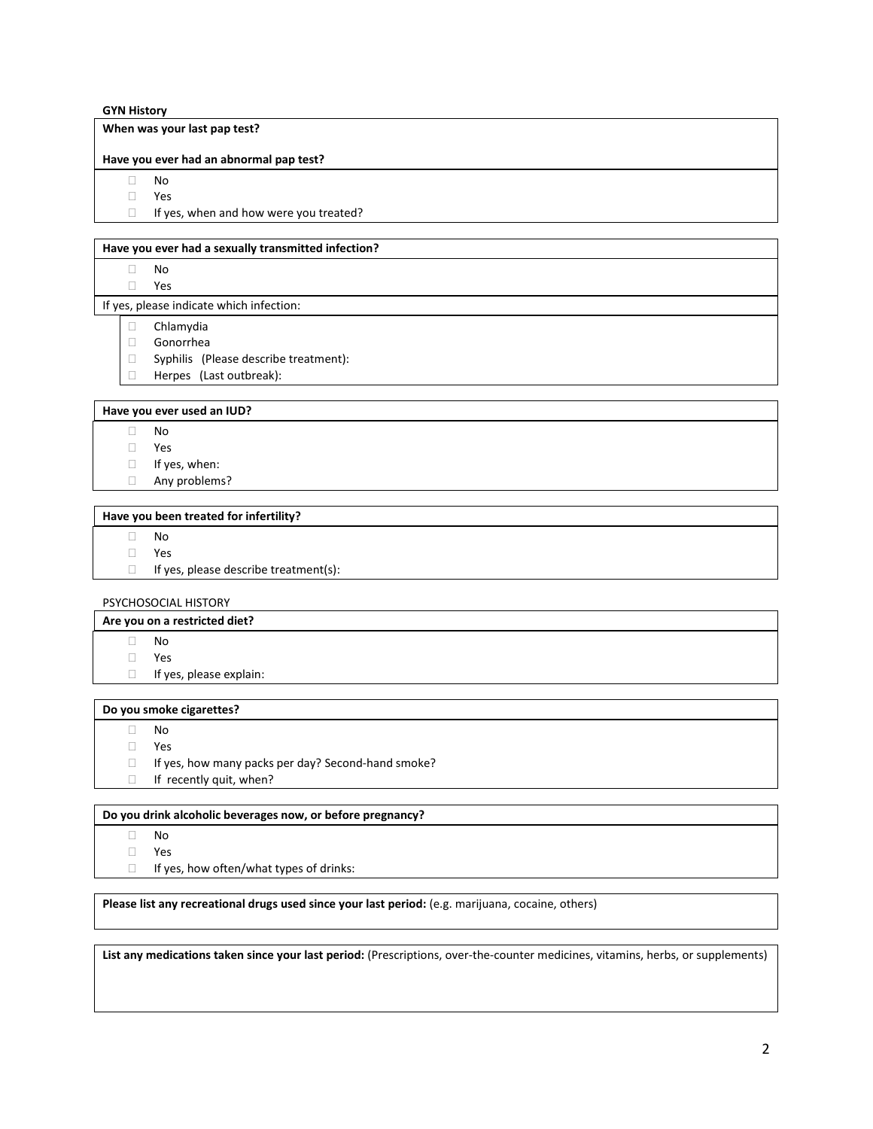## **GYN History**

## **When was your last pap test?**

#### **Have you ever had an abnormal pap test?**

No

Yes

 $\Box$  If yes, when and how were you treated?

## **Have you ever had a sexually transmitted infection?**

- No
- Yes

If yes, please indicate which infection:

- Chlamydia
- Gonorrhea
- Syphilis (Please describe treatment):
- **Herpes** (Last outbreak):

#### **Have you ever used an IUD?**

- No
- Yes
- If yes, when:
- Any problems?

# **Have you been treated for infertility?**

- No
- Yes
- $\Box$  If yes, please describe treatment(s):

## PSYCHOSOCIAL HISTORY

#### **Are you on a restricted diet?**

- No
- Yes
- $\Box$  If yes, please explain:

#### **Do you smoke cigarettes?**

- No
- Yes
- $\Box$  If yes, how many packs per day? Second-hand smoke?
- If recently quit, when?

# **Do you drink alcoholic beverages now, or before pregnancy?**

- No
- Yes
- $\Box$  If yes, how often/what types of drinks:

## **Please list any recreational drugs used since your last period:** (e.g. marijuana, cocaine, others)

**List any medications taken since your last period:** (Prescriptions, over-the-counter medicines, vitamins, herbs, or supplements)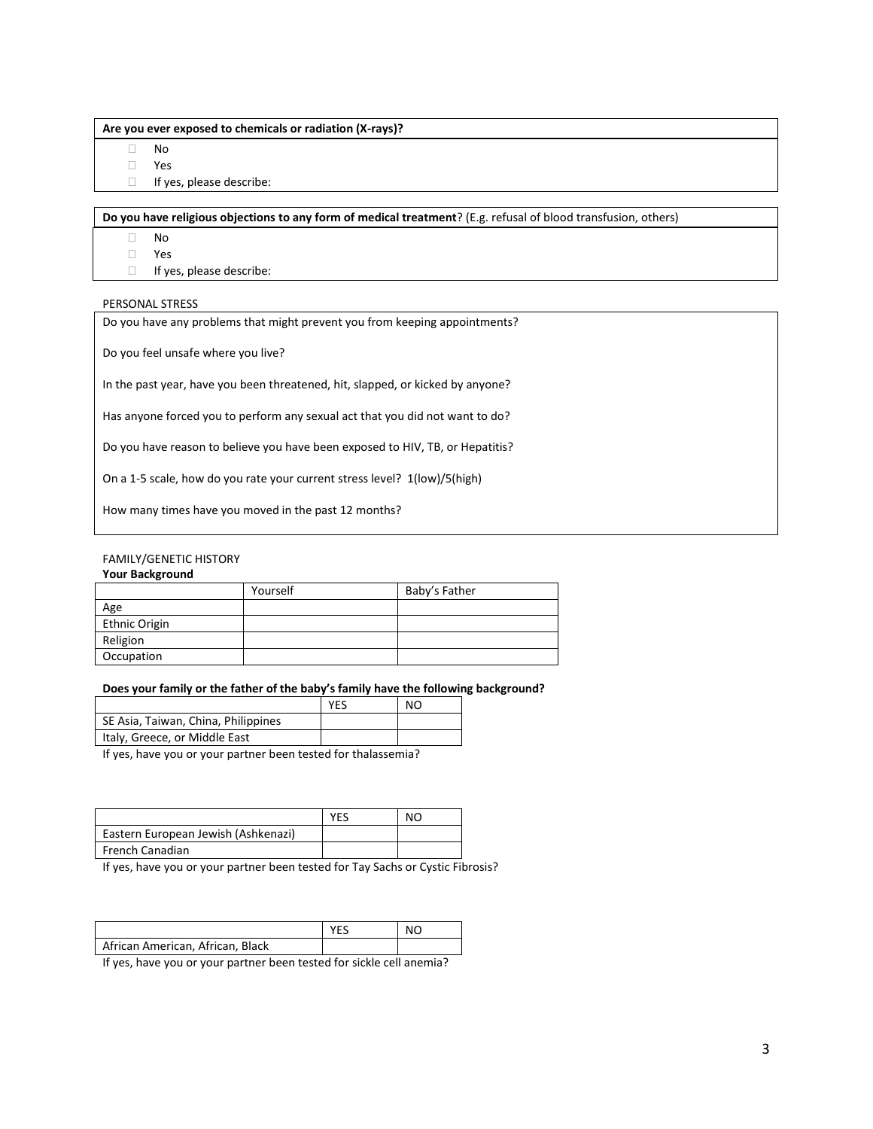#### **Are you ever exposed to chemicals or radiation (X-rays)?**

No

Yes

If yes, please describe:

**Do you have religious objections to any form of medical treatment**? (E.g. refusal of blood transfusion, others)

No

Yes

If yes, please describe:

## PERSONAL STRESS

Do you have any problems that might prevent you from keeping appointments?

Do you feel unsafe where you live?

In the past year, have you been threatened, hit, slapped, or kicked by anyone?

Has anyone forced you to perform any sexual act that you did not want to do?

Do you have reason to believe you have been exposed to HIV, TB, or Hepatitis?

On a 1-5 scale, how do you rate your current stress level? 1(low)/5(high)

How many times have you moved in the past 12 months?

## FAMILY/GENETIC HISTORY

#### **Your Background**

|               | Yourself | Baby's Father |
|---------------|----------|---------------|
| Age           |          |               |
| Ethnic Origin |          |               |
| Religion      |          |               |
| Occupation    |          |               |

## **Does your family or the father of the baby's family have the following background?**

|                                                                                  | <b>YES</b> | NO. |
|----------------------------------------------------------------------------------|------------|-----|
| SE Asia, Taiwan, China, Philippines                                              |            |     |
| I Italy, Greece, or Middle East                                                  |            |     |
| المتعمد محموما ومالح والمستحقق والمستحدث والمستحدث والمستحدث والمستحدث والمستحقل |            |     |

If yes, have you or your partner been tested for thalassemia?

|                                     | YES | NΟ |
|-------------------------------------|-----|----|
| Eastern European Jewish (Ashkenazi) |     |    |
| French Canadian                     |     |    |

If yes, have you or your partner been tested for Tay Sachs or Cystic Fibrosis?

|                                  | <b>YES</b> | NO |
|----------------------------------|------------|----|
| African American, African, Black |            |    |

If yes, have you or your partner been tested for sickle cell anemia?